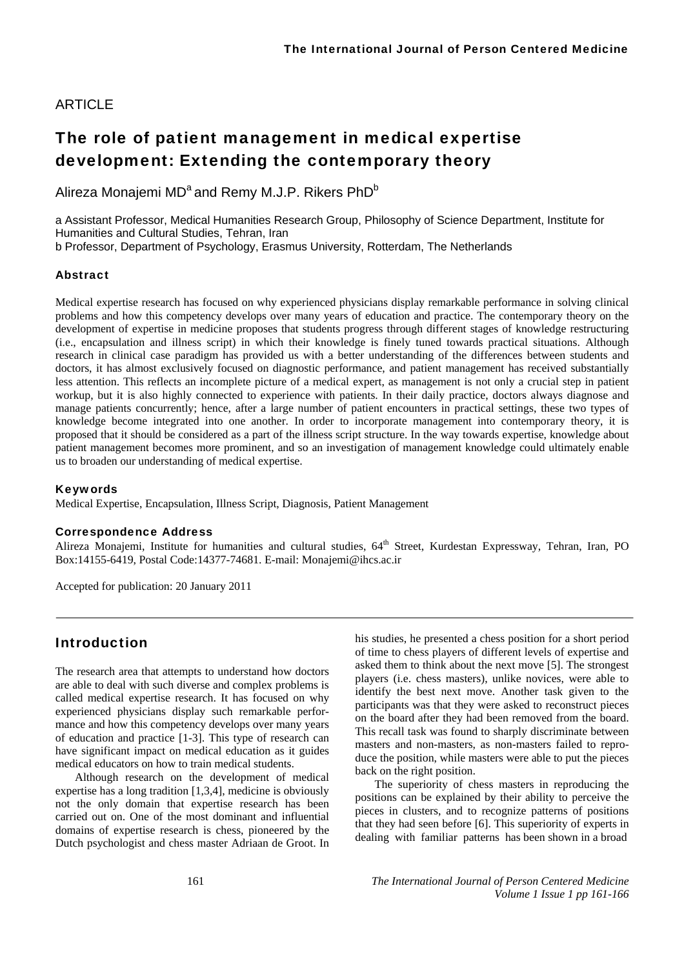## ARTICLE

# The role of patient management in medical expertise development: Extending the contemporary theory

Alireza Monajemi MD<sup>a</sup> and Remy M.J.P. Rikers PhD<sup>b</sup>

a Assistant Professor, Medical Humanities Research Group, Philosophy of Science Department, Institute for Humanities and Cultural Studies, Tehran, Iran b Professor, Department of Psychology, Erasmus University, Rotterdam, The Netherlands

#### Abstract

Medical expertise research has focused on why experienced physicians display remarkable performance in solving clinical problems and how this competency develops over many years of education and practice. The contemporary theory on the development of expertise in medicine proposes that students progress through different stages of knowledge restructuring (i.e., encapsulation and illness script) in which their knowledge is finely tuned towards practical situations. Although research in clinical case paradigm has provided us with a better understanding of the differences between students and doctors, it has almost exclusively focused on diagnostic performance, and patient management has received substantially less attention. This reflects an incomplete picture of a medical expert, as management is not only a crucial step in patient workup, but it is also highly connected to experience with patients. In their daily practice, doctors always diagnose and manage patients concurrently; hence, after a large number of patient encounters in practical settings, these two types of knowledge become integrated into one another. In order to incorporate management into contemporary theory, it is proposed that it should be considered as a part of the illness script structure. In the way towards expertise, knowledge about patient management becomes more prominent, and so an investigation of management knowledge could ultimately enable us to broaden our understanding of medical expertise.

#### Keywords

Medical Expertise, Encapsulation, Illness Script, Diagnosis, Patient Management

#### Correspondence Address

Alireza Monajemi, Institute for humanities and cultural studies, 64<sup>th</sup> Street, Kurdestan Expressway, Tehran, Iran, PO Box:14155-6419, Postal Code:14377-74681. E-mail: Monajemi@ihcs.ac.ir

Accepted for publication: 20 January 2011

## Introduction

The research area that attempts to understand how doctors are able to deal with such diverse and complex problems is called medical expertise research. It has focused on why experienced physicians display such remarkable performance and how this competency develops over many years of education and practice [1-3]. This type of research can have significant impact on medical education as it guides medical educators on how to train medical students.

Although research on the development of medical expertise has a long tradition [1,3,4], medicine is obviously not the only domain that expertise research has been carried out on. One of the most dominant and influential domains of expertise research is chess, pioneered by the Dutch psychologist and chess master Adriaan de Groot. In

his studies, he presented a chess position for a short period of time to chess players of different levels of expertise and asked them to think about the next move [5]. The strongest players (i.e. chess masters), unlike novices, were able to identify the best next move. Another task given to the participants was that they were asked to reconstruct pieces on the board after they had been removed from the board. This recall task was found to sharply discriminate between masters and non-masters, as non-masters failed to reproduce the position, while masters were able to put the pieces back on the right position.

The superiority of chess masters in reproducing the positions can be explained by their ability to perceive the pieces in clusters, and to recognize patterns of positions that they had seen before [6]. This superiority of experts in dealing with familiar patterns has been shown in a broad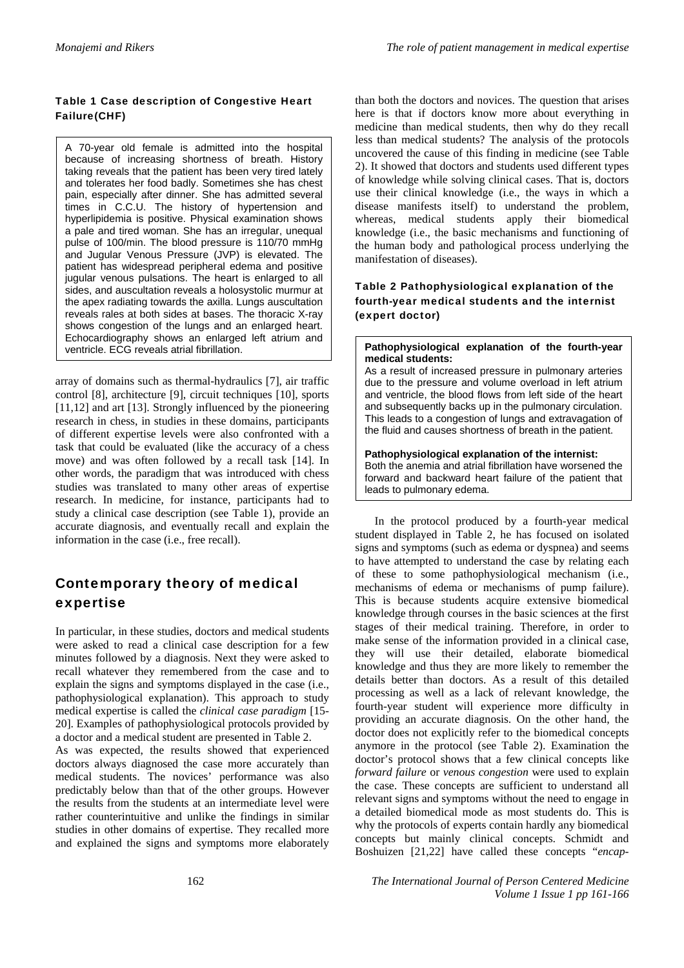### Table 1 Case description of Congestive Heart Failure(CHF)

A 70-year old female is admitted into the hospital because of increasing shortness of breath. History taking reveals that the patient has been very tired lately and tolerates her food badly. Sometimes she has chest pain, especially after dinner. She has admitted several times in C.C.U. The history of hypertension and hyperlipidemia is positive. Physical examination shows a pale and tired woman. She has an irregular, unequal pulse of 100/min. The blood pressure is 110/70 mmHg and Jugular Venous Pressure (JVP) is elevated. The patient has widespread peripheral edema and positive jugular venous pulsations. The heart is enlarged to all sides, and auscultation reveals a holosystolic murmur at the apex radiating towards the axilla. Lungs auscultation reveals rales at both sides at bases. The thoracic X-ray shows congestion of the lungs and an enlarged heart. Echocardiography shows an enlarged left atrium and ventricle. ECG reveals atrial fibrillation.

array of domains such as thermal-hydraulics [7], air traffic control [8], architecture [9], circuit techniques [10], sports [11,12] and art [13]. Strongly influenced by the pioneering research in chess, in studies in these domains, participants of different expertise levels were also confronted with a task that could be evaluated (like the accuracy of a chess move) and was often followed by a recall task [14]. In other words, the paradigm that was introduced with chess studies was translated to many other areas of expertise research. In medicine, for instance, participants had to study a clinical case description (see Table 1), provide an accurate diagnosis, and eventually recall and explain the information in the case (i.e., free recall).

## Contemporary theory of medical expertise

In particular, in these studies, doctors and medical students were asked to read a clinical case description for a few minutes followed by a diagnosis. Next they were asked to recall whatever they remembered from the case and to explain the signs and symptoms displayed in the case (i.e., pathophysiological explanation). This approach to study medical expertise is called the *clinical case paradigm* [15- 20]. Examples of pathophysiological protocols provided by a doctor and a medical student are presented in Table 2.

As was expected, the results showed that experienced doctors always diagnosed the case more accurately than medical students. The novices' performance was also predictably below than that of the other groups. However the results from the students at an intermediate level were rather counterintuitive and unlike the findings in similar studies in other domains of expertise. They recalled more and explained the signs and symptoms more elaborately

than both the doctors and novices. The question that arises here is that if doctors know more about everything in medicine than medical students, then why do they recall less than medical students? The analysis of the protocols uncovered the cause of this finding in medicine (see Table 2). It showed that doctors and students used different types of knowledge while solving clinical cases. That is, doctors use their clinical knowledge (i.e., the ways in which a disease manifests itself) to understand the problem, whereas, medical students apply their biomedical knowledge (i.e., the basic mechanisms and functioning of the human body and pathological process underlying the manifestation of diseases).

## Table 2 Pathophysiological explanation of the fourth-year medical students and the internist (expert doctor)

#### **Pathophysiological explanation of the fourth-year medical students:**

As a result of increased pressure in pulmonary arteries due to the pressure and volume overload in left atrium and ventricle, the blood flows from left side of the heart and subsequently backs up in the pulmonary circulation. This leads to a congestion of lungs and extravagation of the fluid and causes shortness of breath in the patient.

## **Pathophysiological explanation of the internist:**

Both the anemia and atrial fibrillation have worsened the forward and backward heart failure of the patient that leads to pulmonary edema.

In the protocol produced by a fourth-year medical student displayed in Table 2, he has focused on isolated signs and symptoms (such as edema or dyspnea) and seems to have attempted to understand the case by relating each of these to some pathophysiological mechanism (i.e., mechanisms of edema or mechanisms of pump failure). This is because students acquire extensive biomedical knowledge through courses in the basic sciences at the first stages of their medical training. Therefore, in order to make sense of the information provided in a clinical case, they will use their detailed, elaborate biomedical knowledge and thus they are more likely to remember the details better than doctors. As a result of this detailed processing as well as a lack of relevant knowledge, the fourth-year student will experience more difficulty in providing an accurate diagnosis. On the other hand, the doctor does not explicitly refer to the biomedical concepts anymore in the protocol (see Table 2). Examination the doctor's protocol shows that a few clinical concepts like *forward failure* or *venous congestion* were used to explain the case. These concepts are sufficient to understand all relevant signs and symptoms without the need to engage in a detailed biomedical mode as most students do. This is why the protocols of experts contain hardly any biomedical concepts but mainly clinical concepts. Schmidt and Boshuizen [21,22] have called these concepts "*encap-*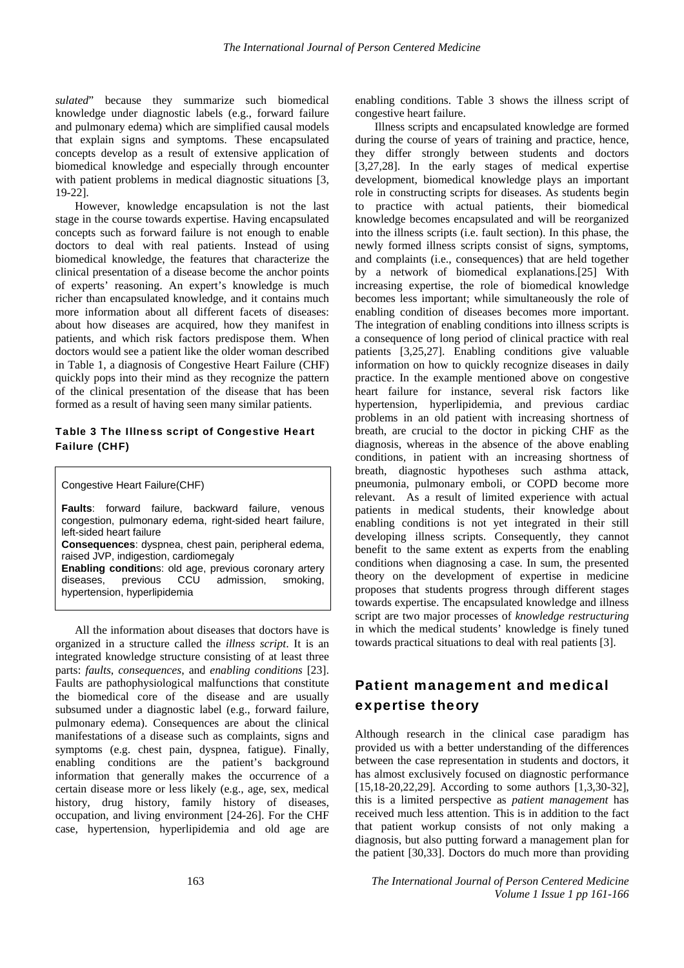*sulated*" because they summarize such biomedical knowledge under diagnostic labels (e.g., forward failure and pulmonary edema) which are simplified causal models that explain signs and symptoms. These encapsulated concepts develop as a result of extensive application of biomedical knowledge and especially through encounter with patient problems in medical diagnostic situations [3, 19-22].

However, knowledge encapsulation is not the last stage in the course towards expertise. Having encapsulated concepts such as forward failure is not enough to enable doctors to deal with real patients. Instead of using biomedical knowledge, the features that characterize the clinical presentation of a disease become the anchor points of experts' reasoning. An expert's knowledge is much richer than encapsulated knowledge, and it contains much more information about all different facets of diseases: about how diseases are acquired, how they manifest in patients, and which risk factors predispose them. When doctors would see a patient like the older woman described in Table 1, a diagnosis of Congestive Heart Failure (CHF) quickly pops into their mind as they recognize the pattern of the clinical presentation of the disease that has been formed as a result of having seen many similar patients.

#### Table 3 The Illness script of Congestive Heart Failure (CHF)

Congestive Heart Failure(CHF)

**Faults**: forward failure, backward failure, venous congestion, pulmonary edema, right-sided heart failure, left-sided heart failure **Consequences**: dyspnea, chest pain, peripheral edema, raised JVP, indigestion, cardiomegaly **Enabling condition**s: old age, previous coronary artery diseases, previous CCU admission, smoking, hypertension, hyperlipidemia

All the information about diseases that doctors have is organized in a structure called the *illness script*. It is an integrated knowledge structure consisting of at least three parts: *faults*, *consequences*, and *enabling conditions* [23]. Faults are pathophysiological malfunctions that constitute the biomedical core of the disease and are usually subsumed under a diagnostic label (e.g., forward failure, pulmonary edema). Consequences are about the clinical manifestations of a disease such as complaints, signs and symptoms (e.g. chest pain, dyspnea, fatigue). Finally, enabling conditions are the patient's background information that generally makes the occurrence of a certain disease more or less likely (e.g., age, sex, medical history, drug history, family history of diseases, occupation, and living environment [24-26]. For the CHF case, hypertension, hyperlipidemia and old age are

enabling conditions. Table 3 shows the illness script of congestive heart failure.

Illness scripts and encapsulated knowledge are formed during the course of years of training and practice, hence, they differ strongly between students and doctors [3,27,28]. In the early stages of medical expertise development, biomedical knowledge plays an important role in constructing scripts for diseases. As students begin to practice with actual patients, their biomedical knowledge becomes encapsulated and will be reorganized into the illness scripts (i.e. fault section). In this phase, the newly formed illness scripts consist of signs, symptoms, and complaints (i.e., consequences) that are held together by a network of biomedical explanations.[25] With increasing expertise, the role of biomedical knowledge becomes less important; while simultaneously the role of enabling condition of diseases becomes more important. The integration of enabling conditions into illness scripts is a consequence of long period of clinical practice with real patients [3,25,27]. Enabling conditions give valuable information on how to quickly recognize diseases in daily practice. In the example mentioned above on congestive heart failure for instance, several risk factors like hypertension, hyperlipidemia, and previous cardiac problems in an old patient with increasing shortness of breath, are crucial to the doctor in picking CHF as the diagnosis, whereas in the absence of the above enabling conditions, in patient with an increasing shortness of breath, diagnostic hypotheses such asthma attack, pneumonia, pulmonary emboli, or COPD become more relevant. As a result of limited experience with actual patients in medical students, their knowledge about enabling conditions is not yet integrated in their still developing illness scripts. Consequently, they cannot benefit to the same extent as experts from the enabling conditions when diagnosing a case. In sum, the presented theory on the development of expertise in medicine proposes that students progress through different stages towards expertise. The encapsulated knowledge and illness script are two major processes of *knowledge restructuring* in which the medical students' knowledge is finely tuned towards practical situations to deal with real patients [3].

## Patient management and medical expertise theory

Although research in the clinical case paradigm has provided us with a better understanding of the differences between the case representation in students and doctors, it has almost exclusively focused on diagnostic performance [15,18-20,22,29]. According to some authors [1,3,30-32]. this is a limited perspective as *patient management* has received much less attention. This is in addition to the fact that patient workup consists of not only making a diagnosis, but also putting forward a management plan for the patient [30,33]. Doctors do much more than providing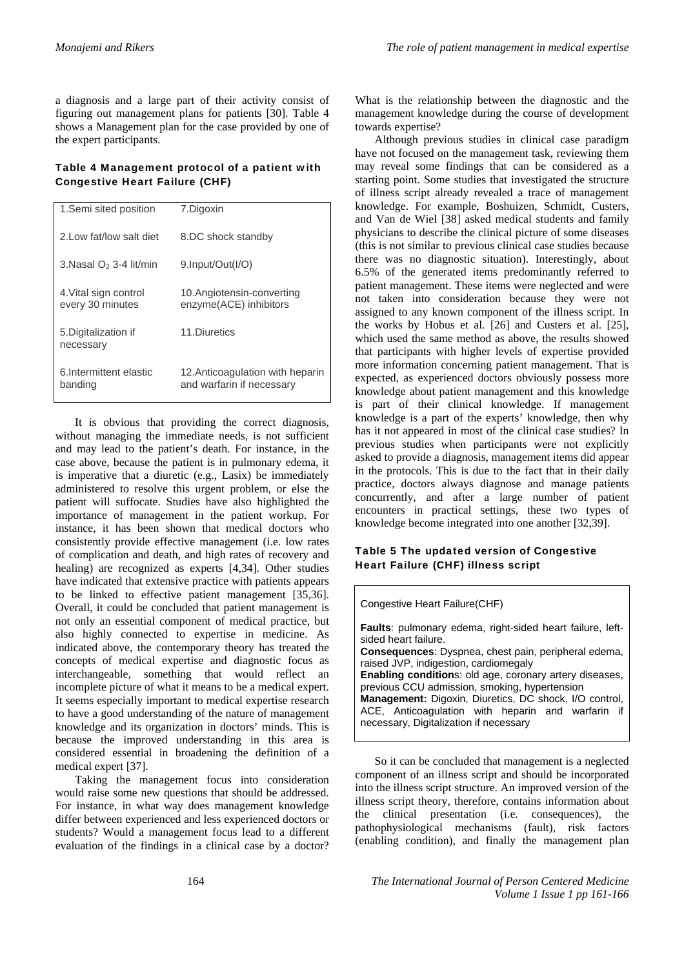a diagnosis and a large part of their activity consist of figuring out management plans for patients [30]. Table 4 shows a Management plan for the case provided by one of the expert participants.

### Table 4 Management protocol of a patient with Congestive Heart Failure (CHF)

| 1. Semi sited position                    | 7.Digoxin                                                     |
|-------------------------------------------|---------------------------------------------------------------|
| 2.Low fat/low salt diet                   | 8.DC shock standby                                            |
| 3. Nasal $O2$ 3-4 lit/min                 | 9.Input/Out(I/O)                                              |
| 4. Vital sign control<br>every 30 minutes | 10.Angiotensin-converting<br>enzyme(ACE) inhibitors           |
| 5. Digitalization if<br>necessary         | 11 Diuretics                                                  |
| 6. Intermittent elastic<br>banding        | 12. Anticoagulation with heparin<br>and warfarin if necessary |

It is obvious that providing the correct diagnosis, without managing the immediate needs, is not sufficient and may lead to the patient's death. For instance, in the case above, because the patient is in pulmonary edema, it is imperative that a diuretic (e.g., Lasix) be immediately administered to resolve this urgent problem, or else the patient will suffocate. Studies have also highlighted the importance of management in the patient workup. For instance, it has been shown that medical doctors who consistently provide effective management (i.e. low rates of complication and death, and high rates of recovery and healing) are recognized as experts [4,34]. Other studies have indicated that extensive practice with patients appears to be linked to effective patient management [35,36]. Overall, it could be concluded that patient management is not only an essential component of medical practice, but also highly connected to expertise in medicine. As indicated above, the contemporary theory has treated the concepts of medical expertise and diagnostic focus as interchangeable, something that would reflect an incomplete picture of what it means to be a medical expert. It seems especially important to medical expertise research to have a good understanding of the nature of management knowledge and its organization in doctors' minds. This is because the improved understanding in this area is considered essential in broadening the definition of a medical expert [37].

Taking the management focus into consideration would raise some new questions that should be addressed. For instance, in what way does management knowledge differ between experienced and less experienced doctors or students? Would a management focus lead to a different evaluation of the findings in a clinical case by a doctor?

What is the relationship between the diagnostic and the management knowledge during the course of development towards expertise?

Although previous studies in clinical case paradigm have not focused on the management task, reviewing them may reveal some findings that can be considered as a starting point. Some studies that investigated the structure of illness script already revealed a trace of management knowledge. For example, Boshuizen, Schmidt, Custers, and Van de Wiel [38] asked medical students and family physicians to describe the clinical picture of some diseases (this is not similar to previous clinical case studies because there was no diagnostic situation). Interestingly, about 6.5% of the generated items predominantly referred to patient management. These items were neglected and were not taken into consideration because they were not assigned to any known component of the illness script. In the works by Hobus et al. [26] and Custers et al. [25], which used the same method as above, the results showed that participants with higher levels of expertise provided more information concerning patient management. That is expected, as experienced doctors obviously possess more knowledge about patient management and this knowledge is part of their clinical knowledge. If management knowledge is a part of the experts' knowledge, then why has it not appeared in most of the clinical case studies? In previous studies when participants were not explicitly asked to provide a diagnosis, management items did appear in the protocols. This is due to the fact that in their daily practice, doctors always diagnose and manage patients concurrently, and after a large number of patient encounters in practical settings, these two types of knowledge become integrated into one another [32,39].

### Table 5 The updated version of Congestive Heart Failure (CHF) illness script

Congestive Heart Failure(CHF)

| Faults: pulmonary edema, right-sided heart failure, left-<br>sided heart failure. |
|-----------------------------------------------------------------------------------|
|                                                                                   |
| <b>Consequences:</b> Dyspnea, chest pain, peripheral edema,                       |
| raised JVP, indigestion, cardiomegaly                                             |
| Enabling conditions: old age, coronary artery diseases,                           |
| previous CCU admission, smoking, hypertension                                     |
| Management: Digoxin, Diuretics, DC shock, I/O control,                            |
| ACE, Anticoagulation with heparin and warfarin if                                 |
| necessary, Digitalization if necessary                                            |

So it can be concluded that management is a neglected component of an illness script and should be incorporated into the illness script structure. An improved version of the illness script theory, therefore, contains information about the clinical presentation (i.e. consequences), the pathophysiological mechanisms (fault), risk factors (enabling condition), and finally the management plan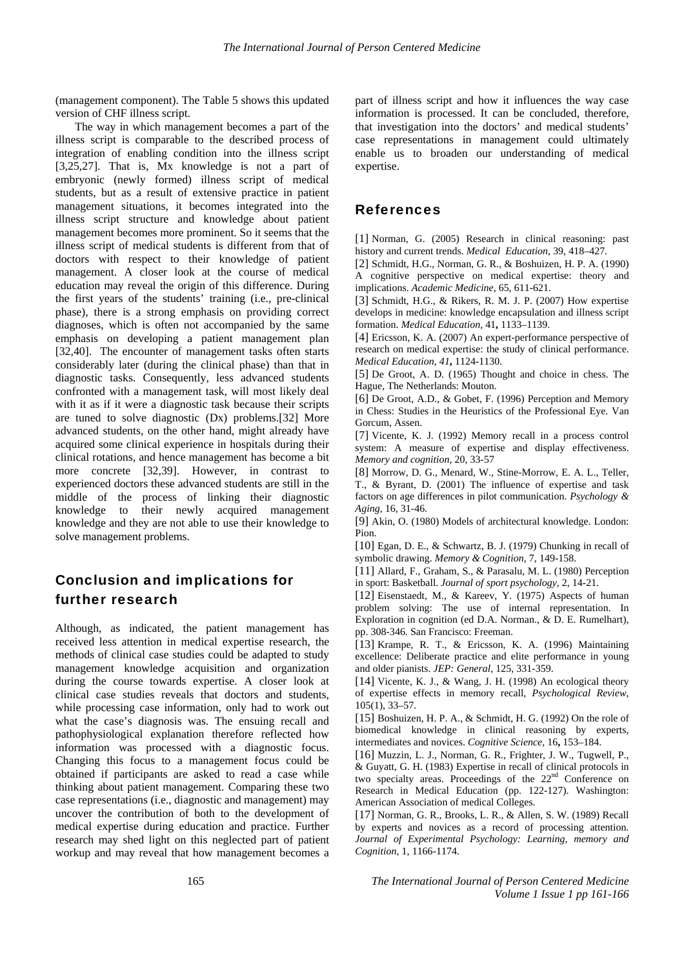(management component). The Table 5 shows this updated version of CHF illness script.

The way in which management becomes a part of the illness script is comparable to the described process of integration of enabling condition into the illness script [3,25,27]. That is, Mx knowledge is not a part of embryonic (newly formed) illness script of medical students, but as a result of extensive practice in patient management situations, it becomes integrated into the illness script structure and knowledge about patient management becomes more prominent. So it seems that the illness script of medical students is different from that of doctors with respect to their knowledge of patient management. A closer look at the course of medical education may reveal the origin of this difference. During the first years of the students' training (i.e., pre-clinical phase), there is a strong emphasis on providing correct diagnoses, which is often not accompanied by the same emphasis on developing a patient management plan [32,40]. The encounter of management tasks often starts considerably later (during the clinical phase) than that in diagnostic tasks. Consequently, less advanced students confronted with a management task, will most likely deal with it as if it were a diagnostic task because their scripts are tuned to solve diagnostic (Dx) problems.[32] More advanced students, on the other hand, might already have acquired some clinical experience in hospitals during their clinical rotations, and hence management has become a bit more concrete [32,39]. However, in contrast to experienced doctors these advanced students are still in the middle of the process of linking their diagnostic knowledge to their newly acquired management knowledge and they are not able to use their knowledge to solve management problems.

## Conclusion and implications for further research

Although, as indicated, the patient management has received less attention in medical expertise research, the methods of clinical case studies could be adapted to study management knowledge acquisition and organization during the course towards expertise. A closer look at clinical case studies reveals that doctors and students, while processing case information, only had to work out what the case's diagnosis was. The ensuing recall and pathophysiological explanation therefore reflected how information was processed with a diagnostic focus. Changing this focus to a management focus could be obtained if participants are asked to read a case while thinking about patient management. Comparing these two case representations (i.e., diagnostic and management) may uncover the contribution of both to the development of medical expertise during education and practice. Further research may shed light on this neglected part of patient workup and may reveal that how management becomes a

part of illness script and how it influences the way case information is processed. It can be concluded, therefore, that investigation into the doctors' and medical students' case representations in management could ultimately enable us to broaden our understanding of medical expertise.

## References

[1] Norman, G. (2005) Research in clinical reasoning: past history and current trends. *Medical Education*, 39, 418–427.

[2] Schmidt, H.G., Norman, G. R., & Boshuizen, H. P. A. (1990) A cognitive perspective on medical expertise: theory and implications. *Academic Medicine,* 65, 611-621.

[3] Schmidt, H.G., & Rikers, R. M. J. P. (2007) How expertise develops in medicine: knowledge encapsulation and illness script formation. *Medical Education*, 41**,** 1133–1139.

[4] Ericsson, K. A. (2007) An expert-performance perspective of research on medical expertise: the study of clinical performance. *Medical Education*, *41***,** 1124-1130.

[5] De Groot, A. D. (1965) Thought and choice in chess. The Hague, The Netherlands: Mouton.

[6] De Groot, A.D., & Gobet, F. (1996) Perception and Memory in Chess: Studies in the Heuristics of the Professional Eye. Van Gorcum, Assen.

[7] Vicente, K. J. (1992) Memory recall in a process control system: A measure of expertise and display effectiveness. *Memory and cognition*, 20, 33-57

[8] Morrow, D. G., Menard, W., Stine-Morrow, E. A. L., Teller, T., & Byrant, D. (2001) The influence of expertise and task factors on age differences in pilot communication. *Psychology & Aging*, 16, 31-46.

[9] Akin, O. (1980) Models of architectural knowledge. London: Pion.

[10] Egan, D. E., & Schwartz, B. J. (1979) Chunking in recall of symbolic drawing. *Memory & Cognition*, 7, 149-158.

[11] Allard, F., Graham, S., & Parasalu, M. L. (1980) Perception in sport: Basketball. *Journal of sport psychology*, 2, 14-21.

[12] Eisenstaedt, M., & Kareev, Y. (1975) Aspects of human problem solving: The use of internal representation. In Exploration in cognition (ed D.A. Norman., & D. E. Rumelhart), pp. 308-346. San Francisco: Freeman.

[13] Krampe, R. T., & Ericsson, K. A. (1996) Maintaining excellence: Deliberate practice and elite performance in young and older pianists. *JEP: General*, 125, 331-359.

[14] Vicente, K. J., & Wang, J. H. (1998) An ecological theory of expertise effects in memory recall, *Psychological Review,*  105(1), 33–57.

[15] Boshuizen, H. P. A., & Schmidt, H. G. (1992) On the role of biomedical knowledge in clinical reasoning by experts, intermediates and novices. *Cognitive Science,* 16**,** 153–184.

[16] Muzzin, L. J., Norman, G. R., Frighter, J. W., Tugwell, P., & Guyatt, G. H. (1983) Expertise in recall of clinical protocols in two specialty areas. Proceedings of the 22<sup>nd</sup> Conference on Research in Medical Education (pp. 122-127). Washington: American Association of medical Colleges.

[17] Norman, G. R., Brooks, L. R., & Allen, S. W. (1989) Recall by experts and novices as a record of processing attention. *Journal of Experimental Psychology: Learning, memory and Cognition,* 1, 1166-1174.